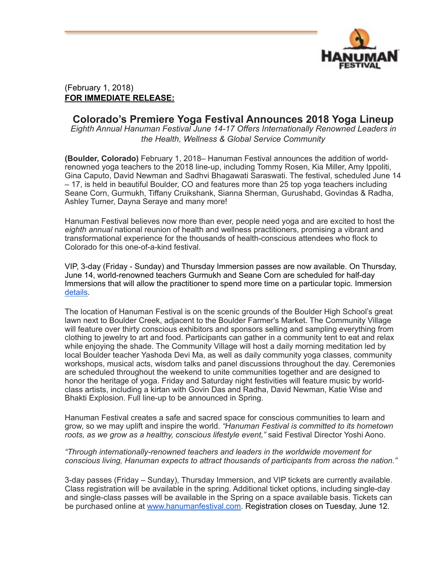

## (February 1, 2018) **FOR IMMEDIATE RELEASE:**

## **Colorado's Premiere Yoga Festival Announces 2018 Yoga Lineup**

*Eighth Annual Hanuman Festival June 14-17 Offers Internationally Renowned Leaders in the Health, Wellness & Global Service Community*

**(Boulder, Colorado)** February 1, 2018– Hanuman Festival announces the addition of worldrenowned yoga teachers to the 2018 line-up, including Tommy Rosen, Kia Miller, Amy Ippoliti, Gina Caputo, David Newman and Sadhvi Bhagawati Saraswati. The festival, scheduled June 14 – 17, is held in beautiful Boulder, CO and features more than 25 top yoga teachers including Seane Corn, Gurmukh, Tiffany Cruikshank, Sianna Sherman, Gurushabd, Govindas & Radha, Ashley Turner, Dayna Seraye and many more!

Hanuman Festival believes now more than ever, people need yoga and are excited to host the *eighth annual* national reunion of health and wellness practitioners, promising a vibrant and transformational experience for the thousands of health-conscious attendees who flock to Colorado for this one-of-a-kind festival.

VIP, 3-day (Friday - Sunday) and Thursday Immersion passes are now available. On Thursday, June 14, world-renowned teachers Gurmukh and Seane Corn are scheduled for half-day Immersions that will allow the practitioner to spend more time on a particular topic. Immersion [details.](http://hanumanfestival.com/immersions/)

The location of Hanuman Festival is on the scenic grounds of the Boulder High School's great lawn next to Boulder Creek, adjacent to the Boulder Farmer's Market. The Community Village will feature over thirty conscious exhibitors and sponsors selling and sampling everything from clothing to jewelry to art and food. Participants can gather in a community tent to eat and relax while enjoying the shade. The Community Village will host a daily morning meditation led by local Boulder teacher Yashoda Devi Ma, as well as daily community yoga classes, community workshops, musical acts, wisdom talks and panel discussions throughout the day. Ceremonies are scheduled throughout the weekend to unite communities together and are designed to honor the heritage of yoga. Friday and Saturday night festivities will feature music by worldclass artists, including a kirtan with Govin Das and Radha, David Newman, Katie Wise and Bhakti Explosion. Full line-up to be announced in Spring.

Hanuman Festival creates a safe and sacred space for conscious communities to learn and grow, so we may uplift and inspire the world. *"Hanuman Festival is committed to its hometown roots, as we grow as a healthy, conscious lifestyle event,"* said Festival Director Yoshi Aono.

## *"Through internationally-renowned teachers and leaders in the worldwide movement for conscious living, Hanuman expects to attract thousands of participants from across the nation."*

3-day passes (Friday – Sunday), Thursday Immersion, and VIP tickets are currently available. Class registration will be available in the spring. Additional ticket options, including single-day and single-class passes will be available in the Spring on a space available basis. Tickets can be purchased online at [www.hanumanfestival.com.](http://www.hanumanfestival.com/) Registration closes on Tuesday, June 12.